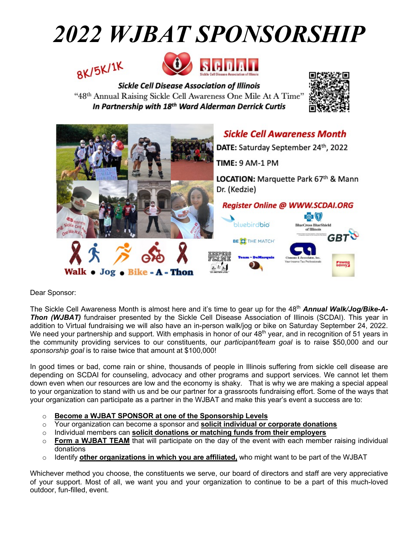# *2022 WJBAT SPONSORSHIP*





**Sickle Cell Disease Association of Illinois** "48th Annual Raising Sickle Cell Awareness One Mile At A Time" In Partnership with 18<sup>th</sup> Ward Alderman Derrick Curtis





Dear Sponsor:

The Sickle Cell Awareness Month is almost here and it's time to gear up for the 48<sup>th</sup> **Annual Walk/Jog/Bike-A-***Thon (WJBAT)* fundraiser presented by the Sickle Cell Disease Association of Illinois (SCDAI). This year in addition to Virtual fundraising we will also have an in-person walk/jog or bike on Saturday September 24, 2022. We need your partnership and support. With emphasis in honor of our 48<sup>th</sup> year, and in recognition of 51 years in the community providing services to our constituents, our *participant/team goal* is to raise \$50,000 and our *sponsorship goal* is to raise twice that amount at \$100,000!

In good times or bad, come rain or shine, thousands of people in Illinois suffering from sickle cell disease are depending on SCDAI for counseling, advocacy and other programs and support services. We cannot let them down even when our resources are low and the economy is shaky. That is why we are making a special appeal to your organization to stand with us and be our partner for a grassroots fundraising effort. Some of the ways that your organization can participate as a partner in the WJBAT and make this year's event a success are to:

- o **Become a WJBAT SPONSOR at one of the Sponsorship Levels**
- o Your organization can become a sponsor and **solicit individual or corporate donations**
- o Individual members can **solicit donations or matching funds from their employers**
- $\circ$  **Form a WJBAT TEAM** that will participate on the day of the event with each member raising individual donations
- o Identify **other organizations in which you are affiliated,** who might want to be part of the WJBAT

Whichever method you choose, the constituents we serve, our board of directors and staff are very appreciative of your support. Most of all, we want you and your organization to continue to be a part of this much-loved outdoor, fun-filled, event.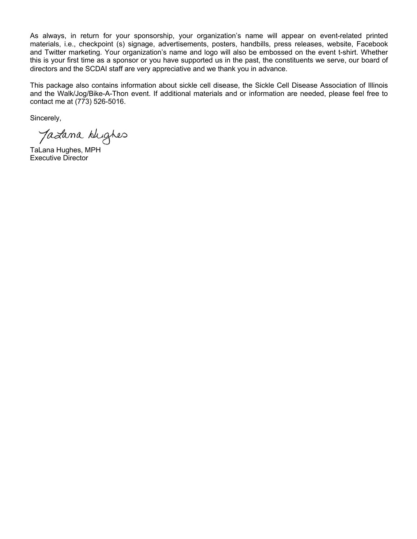As always, in return for your sponsorship, your organization's name will appear on event-related printed materials, i.e., checkpoint (s) signage, advertisements, posters, handbills, press releases, website, Facebook and Twitter marketing. Your organization's name and logo will also be embossed on the event t-shirt. Whether this is your first time as a sponsor or you have supported us in the past, the constituents we serve, our board of directors and the SCDAI staff are very appreciative and we thank you in advance.

This package also contains information about sickle cell disease, the Sickle Cell Disease Association of Illinois and the Walk/Jog/Bike-A-Thon event. If additional materials and or information are needed, please feel free to contact me at (773) 526-5016.

Sincerely,

Jazana Hughes

TaLana Hughes, MPH Executive Director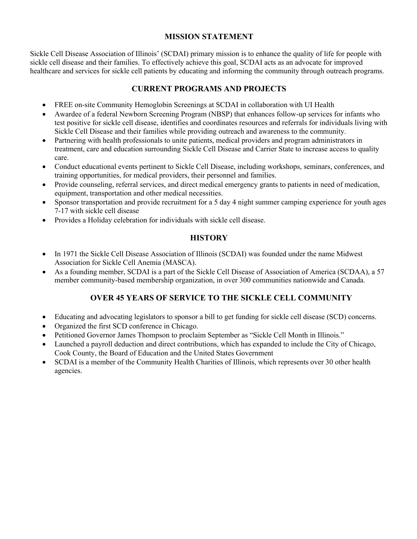#### **MISSION STATEMENT**

Sickle Cell Disease Association of Illinois' (SCDAI) primary mission is to enhance the quality of life for people with sickle cell disease and their families. To effectively achieve this goal, SCDAI acts as an advocate for improved healthcare and services for sickle cell patients by educating and informing the community through outreach programs.

#### **CURRENT PROGRAMS AND PROJECTS**

- FREE on-site Community Hemoglobin Screenings at SCDAI in collaboration with UI Health
- Awardee of a federal Newborn Screening Program (NBSP) that enhances follow-up services for infants who test positive for sickle cell disease, identifies and coordinates resources and referrals for individuals living with Sickle Cell Disease and their families while providing outreach and awareness to the community.
- Partnering with health professionals to unite patients, medical providers and program administrators in treatment, care and education surrounding Sickle Cell Disease and Carrier State to increase access to quality care.
- Conduct educational events pertinent to Sickle Cell Disease, including workshops, seminars, conferences, and training opportunities, for medical providers, their personnel and families.
- Provide counseling, referral services, and direct medical emergency grants to patients in need of medication, equipment, transportation and other medical necessities.
- Sponsor transportation and provide recruitment for a 5 day 4 night summer camping experience for youth ages 7-17 with sickle cell disease
- Provides a Holiday celebration for individuals with sickle cell disease.

#### **HISTORY**

- In 1971 the Sickle Cell Disease Association of Illinois (SCDAI) was founded under the name Midwest Association for Sickle Cell Anemia (MASCA).
- As a founding member, SCDAI is a part of the Sickle Cell Disease of Association of America (SCDAA), a 57 member community-based membership organization, in over 300 communities nationwide and Canada.

#### **OVER 45 YEARS OF SERVICE TO THE SICKLE CELL COMMUNITY**

- Educating and advocating legislators to sponsor a bill to get funding for sickle cell disease (SCD) concerns.
- Organized the first SCD conference in Chicago.
- Petitioned Governor James Thompson to proclaim September as "Sickle Cell Month in Illinois."
- Launched a payroll deduction and direct contributions, which has expanded to include the City of Chicago, Cook County, the Board of Education and the United States Government
- SCDAI is a member of the Community Health Charities of Illinois, which represents over 30 other health agencies.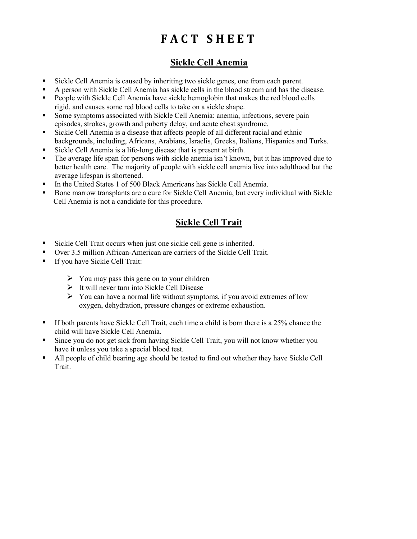## **FACT SHEET**

#### **Sickle Cell Anemia**

- Sickle Cell Anemia is caused by inheriting two sickle genes, one from each parent.
- A person with Sickle Cell Anemia has sickle cells in the blood stream and has the disease.
- People with Sickle Cell Anemia have sickle hemoglobin that makes the red blood cells rigid, and causes some red blood cells to take on a sickle shape.
- Some symptoms associated with Sickle Cell Anemia: anemia, infections, severe pain episodes, strokes, growth and puberty delay, and acute chest syndrome.
- Sickle Cell Anemia is a disease that affects people of all different racial and ethnic backgrounds, including, Africans, Arabians, Israelis, Greeks, Italians, Hispanics and Turks.
- § Sickle Cell Anemia is a life-long disease that is present at birth.
- The average life span for persons with sickle anemia isn't known, but it has improved due to better health care. The majority of people with sickle cell anemia live into adulthood but the average lifespan is shortened.
- § In the United States 1 of 500 Black Americans has Sickle Cell Anemia.
- § Bone marrow transplants are a cure for Sickle Cell Anemia, but every individual with Sickle Cell Anemia is not a candidate for this procedure.

#### **Sickle Cell Trait**

- Sickle Cell Trait occurs when just one sickle cell gene is inherited.
- Over 3.5 million African-American are carriers of the Sickle Cell Trait.
- If you have Sickle Cell Trait:
	- $\triangleright$  You may pass this gene on to your children
	- $\triangleright$  It will never turn into Sickle Cell Disease
	- $\triangleright$  You can have a normal life without symptoms, if you avoid extremes of low oxygen, dehydration, pressure changes or extreme exhaustion.
- **•** If both parents have Sickle Cell Trait, each time a child is born there is a 25% chance the child will have Sickle Cell Anemia.
- Since you do not get sick from having Sickle Cell Trait, you will not know whether you have it unless you take a special blood test.
- § All people of child bearing age should be tested to find out whether they have Sickle Cell Trait.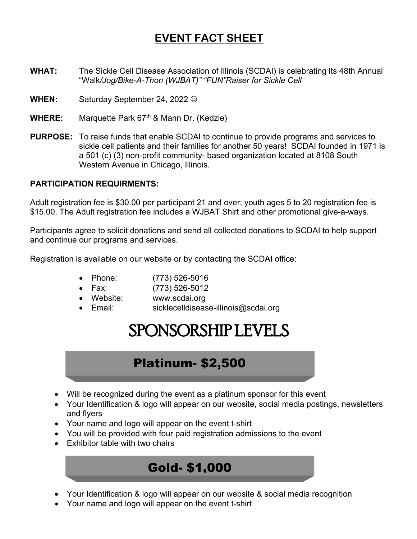## **EVENT FACT SHEET**

- **WHAT:** The Sickle Cell Disease Association of Illinois (SCDAI) is celebrating its 48th Annual "Walk*/Jog/Bike-A-Thon (WJBAT)" "FUN"Raiser for Sickle Cell*
- **WHEN:** Saturday September 24, 2022  $\odot$
- **WHERE:** Marquette Park 67<sup>th</sup> & Mann Dr. (Kedzie)
- **PURPOSE:** To raise funds that enable SCDAI to continue to provide programs and services to sickle cell patients and their families for another 50 years! SCDAI founded in 1971 is a 501 (c) (3) non-profit community- based organization located at 8108 South Western Avenue in Chicago, Illinois.

#### **PARTICIPATION REQUIRMENTS:**

Adult registration fee is \$30.00 per participant 21 and over; youth ages 5 to 20 registration fee is \$15.00. The Adult registration fee includes a WJBAT Shirt and other promotional give-a-ways.

Participants agree to solicit donations and send all collected donations to SCDAI to help support and continue our programs and services.

Registration is available on our website or by contacting the SCDAI office:

- Phone: (773) 526-5016
- Fax: (773) 526-5012
- Website: www.scdai.org
- Email: sicklecelldisease-illinois@scdai.org

## SPONSORSHIP LEVELS

### Platinum- \$2,500

- Will be recognized during the event as a platinum sponsor for this event
- Your Identification & logo will appear on our website, social media postings, newsletters and flyers
- Your name and logo will appear on the event t-shirt
- You will be provided with four paid registration admissions to the event
- Exhibitor table with two chairs

## Gold- \$1,000

- Your Identification & logo will appear on our website & social media recognition
- Your name and logo will appear on the event t-shirt